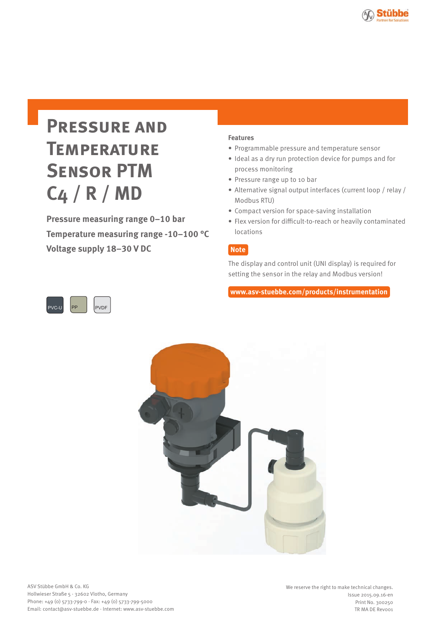

**Pressure measuring range 0–10 bar Temperature measuring range -10–100 °C Voltage supply 18–30 V DC**

# **Features**

- Programmable pressure and temperature sensor
- Ideal as a dry run protection device for pumps and for process monitoring
- Pressure range up to 10 bar
- Alternative signal output interfaces (current loop / relay / Modbus RTU)
- Compact version for space-saving installation
- Flex version for difficult-to-reach or heavily contaminated locations

# **Note**

The display and control unit (UNI display) is required for setting the sensor in the relay and Modbus version!

**www.asv-stuebbe.com/products/instrumentation**



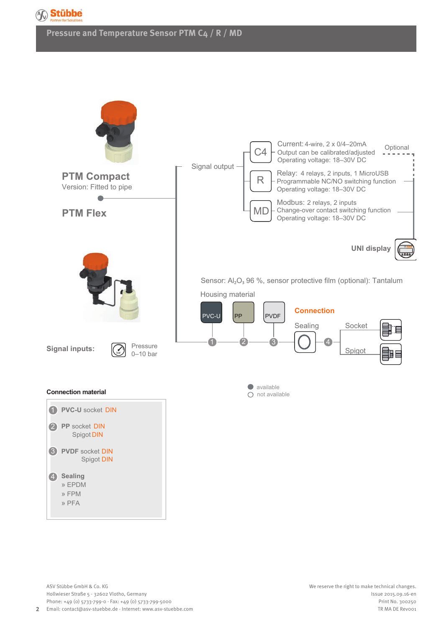

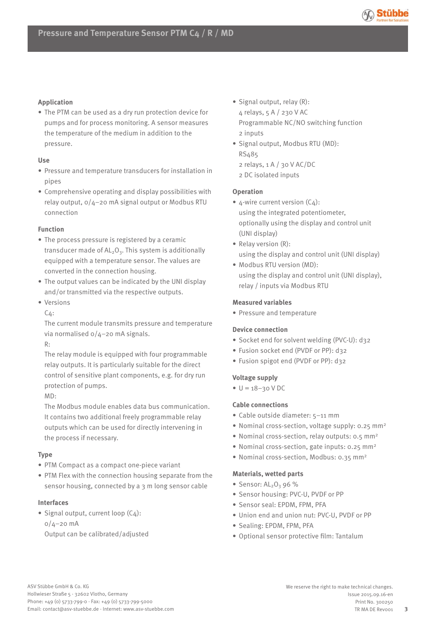

## **Application**

• The PTM can be used as a dry run protection device for pumps and for process monitoring. A sensor measures the temperature of the medium in addition to the pressure.

#### **Use**

- Pressure and temperature transducers for installation in pipes
- Comprehensive operating and display possibilities with relay output, 0/4–20 mA signal output or Modbus RTU connection

### **Function**

- The process pressure is registered by a ceramic transducer made of  $AL_2O_3$ . This system is additionally equipped with a temperature sensor. The values are converted in the connection housing.
- The output values can be indicated by the UNI display and/or transmitted via the respective outputs.
- Versions

C4:

The current module transmits pressure and temperature via normalised 0/4–20 mA signals.

R:

The relay module is equipped with four programmable relay outputs. It is particularly suitable for the direct control of sensitive plant components, e.g. for dry run protection of pumps.

MD:

The Modbus module enables data bus communication. It contains two additional freely programmable relay outputs which can be used for directly intervening in the process if necessary.

# **Type**

- PTM Compact as a compact one-piece variant
- PTM Flex with the connection housing separate from the sensor housing, connected by a 3 m long sensor cable

# **Interfaces**

• Signal output, current loop (C4):  $0/4 - 20$  mA

Output can be calibrated/adjusted

• Signal output, relay (R):

4 relays, 5 A / 230 V AC Programmable NC/NO switching function 2 inputs

- Signal output, Modbus RTU (MD): RS485 2 relays, 1 A / 30 V AC/DC
	- 2 DC isolated inputs
	-

# **Operation**

- $4$ -wire current version (C4): using the integrated potentiometer, optionally using the display and control unit (UNI display)
- Relay version (R): using the display and control unit (UNI display)
- Modbus RTU version (MD): using the display and control unit (UNI display), relay / inputs via Modbus RTU

# **Measured variables**

• Pressure and temperature

# **Device connection**

- Socket end for solvent welding (PVC-U): d32
- Fusion socket end (PVDF or PP): d32
- Fusion spigot end (PVDF or PP): d32

# **Voltage supply**

 $\bullet \, U = 18 - 30 \, V \, DC$ 

# **Cable connections**

- Cable outside diameter: 5–11 mm
- Nominal cross-section, voltage supply: 0.25 mm2
- Nominal cross-section, relay outputs: 0.5 mm2
- Nominal cross-section, gate inputs: 0.25 mm2
- Nominal cross-section, Modbus: 0.35 mm2

# **Materials, wetted parts**

- Sensor:  $AL_2O_3$  96 %
- Sensor housing: PVC-U, PVDF or PP
- Sensor seal: EPDM, FPM, PFA
- Union end and union nut: PVC-U, PVDF or PP
- Sealing: EPDM, FPM, PFA
- Optional sensor protective film: Tantalum

**3**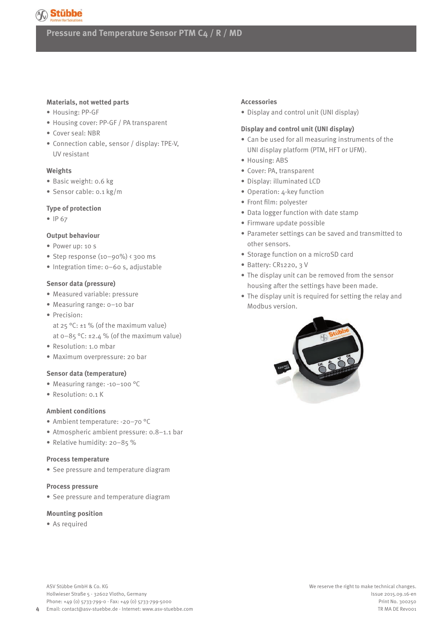

#### **Materials, not wetted parts**

- Housing: PP-GF
- Housing cover: PP-GF / PA transparent
- Cover seal: NBR
- Connection cable, sensor / display: TPE-V, UV resistant

#### **Weights**

- Basic weight: 0.6 kg
- Sensor cable: 0.1 kg/m

#### **Type of protection**

• IP 67

#### **Output behaviour**

- Power up: 10 s
- Step response (10–90%) < 300 ms
- Integration time: 0–60 s, adjustable

#### **Sensor data (pressure)**

- Measured variable: pressure
- Measuring range: 0–10 bar
- Precision: at 25 °C: ±1 % (of the maximum value)
	- at  $0-85$  °C: ±2.4 % (of the maximum value)
- Resolution: 1.0 mbar
- Maximum overpressure: 20 bar

#### **Sensor data (temperature)**

- Measuring range: -10–100 °C
- Resolution: 0.1 K

#### **Ambient conditions**

- Ambient temperature: -20–70 °C
- Atmospheric ambient pressure: 0.8–1.1 bar
- Relative humidity: 20–85 %

#### **Process temperature**

• See pressure and temperature diagram

#### **Process pressure**

• See pressure and temperature diagram

#### **Mounting position**

• As required

#### **Accessories**

• Display and control unit (UNI display)

#### **Display and control unit (UNI display)**

- Can be used for all measuring instruments of the UNI display platform (PTM, HFT or UFM).
- Housing: ABS
- Cover: PA, transparent
- Display: illuminated LCD
- Operation: 4-key function
- Front film: polyester
- Data logger function with date stamp
- Firmware update possible
- Parameter settings can be saved and transmitted to other sensors.
- Storage function on a microSD card
- Battery: CR1220, 3 V
- The display unit can be removed from the sensor housing after the settings have been made.
- The display unit is required for setting the relay and Modbus version.

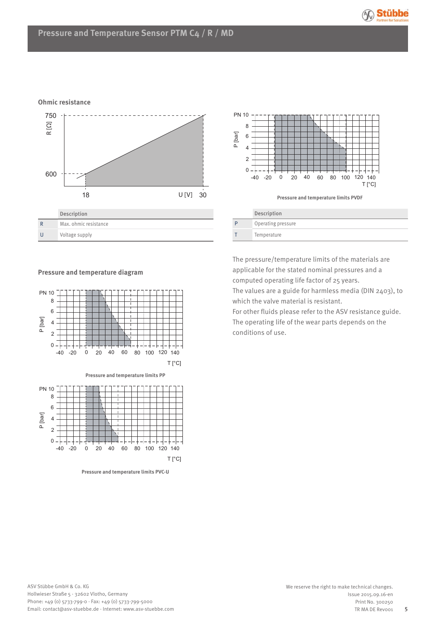

## **Ohmic resistance**





| D | Operating pressure |
|---|--------------------|
|   | Temperature        |
|   |                    |

**Pressure and temperature diagram**



**Pressure and temperature limits PVC-U**

The pressure/temperature limits of the materials are applicable for the stated nominal pressures and a computed operating life factor of 25 years.

The values are a guide for harmless media (DIN 2403), to which the valve material is resistant.

For other fluids please refer to the ASV resistance guide. The operating life of the wear parts depends on the conditions of use.

**5**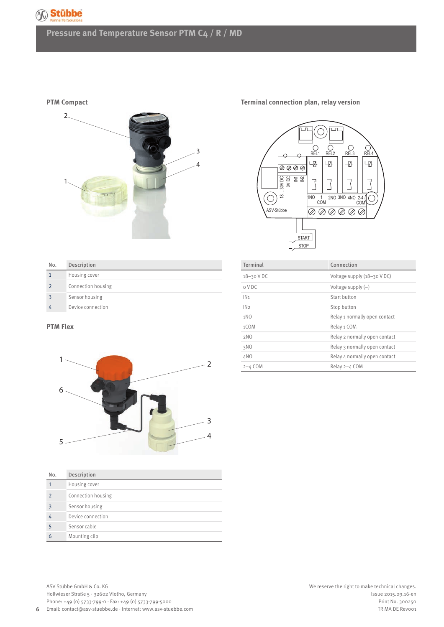

**PTM Compact**



**Terminal connection plan, relay version**



| No.            | Description        |
|----------------|--------------------|
| $\mathbf{1}$   | Housing cover      |
| $\overline{2}$ | Connection housing |
| 3              | Sensor housing     |
| 4              | Device connection  |
|                |                    |

#### **PTM Flex**

**6**



| No.           | Description        |
|---------------|--------------------|
| $\mathbf 1$   | Housing cover      |
| $\mathcal{P}$ | Connection housing |
| 3             | Sensor housing     |
| 4             | Device connection  |
| 5             | Sensor cable       |
| 6             | Mounting clip      |

Terminal Connection 18–30 V DC Voltage supply (18–30 V DC) 0 V DC Voltage supply (–) IN<sub>1</sub> Start button IN2 Stop button 1NO Relay 1 normally open contact 1COM Relay 1 COM 2NO Relay 2 normally open contact 3NO Relay 3 normally open contact 4NO Relay 4 normally open contact 2–4 COM Relay 2–4 COM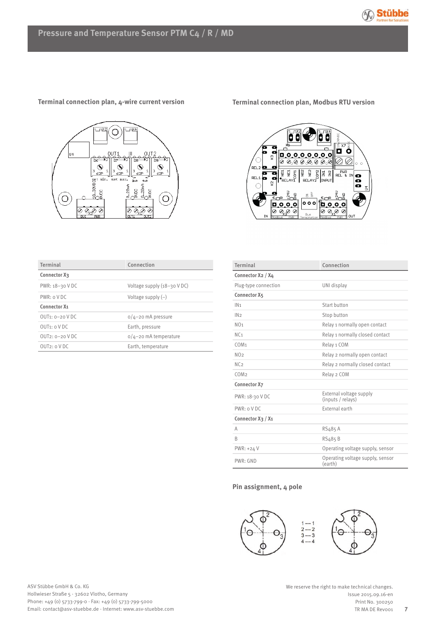



## **Terminal connection plan, 4-wire current version**

**Terminal connection plan, Modbus RTU version**



| Terminal            | Connection                    |  |  |  |
|---------------------|-------------------------------|--|--|--|
| Connector X3        |                               |  |  |  |
| PWR: 18-30 V DC     | Voltage supply $(18-30$ V DC) |  |  |  |
| PWR: o V DC         | Voltage supply $(-)$          |  |  |  |
| <b>Connector X1</b> |                               |  |  |  |
| $QUT_1$ : $Q-2QVDC$ | $0/4 - 20$ mA pressure        |  |  |  |
| $OUT_1$ : $o$ V DC  | Earth, pressure               |  |  |  |
| $QUT2: Q-2QVDC$     | $0/4$ -20 mA temperature      |  |  |  |
| $OUT_2$ : $OVDC$    | Earth, temperature            |  |  |  |

| Terminal                | Connection                                   |  |  |  |
|-------------------------|----------------------------------------------|--|--|--|
| Connector X2 / X4       |                                              |  |  |  |
| Plug-type connection    | UNI display                                  |  |  |  |
| Connector X5            |                                              |  |  |  |
| IN <sub>1</sub>         | Start button                                 |  |  |  |
| IN2                     | Stop button                                  |  |  |  |
| NO <sub>1</sub>         | Relay 1 normally open contact                |  |  |  |
| NC <sub>1</sub>         | Relay 1 normally closed contact              |  |  |  |
| COM <sub>1</sub>        | Relay 1 COM                                  |  |  |  |
| NO <sub>2</sub>         | Relay 2 normally open contact                |  |  |  |
| NC <sub>2</sub>         | Relay 2 normally closed contact              |  |  |  |
| COM <sub>2</sub>        | Relay 2 COM                                  |  |  |  |
| <b>Connector X7</b>     |                                              |  |  |  |
| PWR: 18-30 VDC          | External voltage supply<br>(inputs / relays) |  |  |  |
| PWR: oVDC               | External earth                               |  |  |  |
| Connector $X_3$ / $X_1$ |                                              |  |  |  |
| A                       | RS485 A                                      |  |  |  |
| R                       | RS485B                                       |  |  |  |
| PWR: +24 V              | Operating voltage supply, sensor             |  |  |  |
| PWR: GND                | Operating voltage supply, sensor<br>(earth)  |  |  |  |

#### **Pin assignment, 4 pole**



**7**